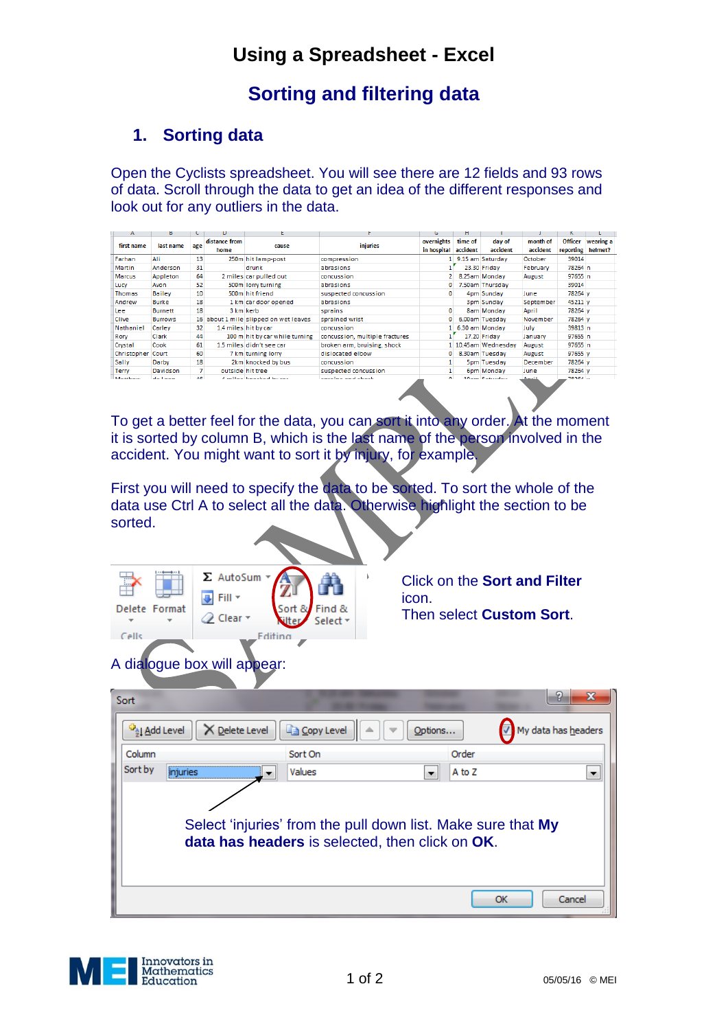# **Using a Spreadsheet - Excel**

### **Sorting and filtering data**

### **1. Sorting data**

Open the Cyclists spreadsheet. You will see there are 12 fields and 93 rows of data. Scroll through the data to get an idea of the different responses and look out for any outliers in the data.

| А                     | ь                                      |                 | D                     |                                         |                                | G                         | н                   |                     |                      |                             |                      |
|-----------------------|----------------------------------------|-----------------|-----------------------|-----------------------------------------|--------------------------------|---------------------------|---------------------|---------------------|----------------------|-----------------------------|----------------------|
| first name            | last name                              | age             | distance from<br>home | cause                                   | <i>injuries</i>                | overnights<br>in hospital | time of<br>accident | day of<br>accident  | month of<br>accident | <b>Officer</b><br>reporting | wearing a<br>helmet? |
| Farhan                | Ali                                    | 13              |                       | 250m hit lamp-post                      | compression                    |                           |                     | 9.15 am Saturday    | October              | 39014                       |                      |
| Martin                | Anderson                               | 31              |                       | <b>drunk</b>                            | abrasions                      |                           |                     | 23.30 Friday        | February             | 78264 n                     |                      |
| <b>Marcus</b>         | Appleton                               | 64              |                       | 2 miles car pulled out                  | concussion                     |                           |                     | 8.25am Monday       | August               | 97655 n                     |                      |
| Lucy                  | Avon                                   | 52              |                       | 500m lorry turning                      | abrasions                      |                           |                     | 7.50am Thursday     |                      | 39014                       |                      |
| <b>Thomas</b>         | <b>Bailey</b>                          | 10 <sup>1</sup> |                       | 500m hit friend                         | suspected concussion           |                           |                     | 4pm Sunday          | June                 | 78264 v                     |                      |
| Andrew                | <b>Burke</b>                           | 18              |                       | 1 km car door opened                    | abrasions                      |                           |                     | 3pm Sunday          | September            | 45211 <sub>v</sub>          |                      |
| Lee                   | <b>Burnett</b>                         | 18              | 3 km kerb             |                                         | sprains                        |                           |                     | 8am Monday          | April                | 78264 y                     |                      |
| Clive                 | <b>Burrows</b>                         |                 |                       | 16 about 1 mile slipped on wet leaves   | sprained wrist                 | o                         |                     | 6.00am Tuesday      | November             | 78264 v                     |                      |
| Nathaniel             | Carley                                 | 32              |                       | 1.4 miles hit by car                    | concussion                     |                           |                     | 1 6.30 am Monday    | July                 | 39813 n                     |                      |
| Rory                  | <b>Clark</b>                           | 44              |                       | 100 m hit by car while turning          | concussion, multiple fractures |                           |                     | 17.20 Friday        | January              | 97655 n                     |                      |
| Crystal               | Cook                                   | 61              |                       | 1.5 miles didn't see car                | broken arm, bruising, shock    |                           |                     | 1 10.45am Wednesday | August               | 97655 n                     |                      |
| Christopher Court     |                                        | 60              |                       | 7 km turning lorry                      | dislocated elbow               | 0                         |                     | 8.30am Tuesday      | August               | 97655 v                     |                      |
| Sally                 | Darby                                  | 18              |                       | 2km knocked by bus                      | concussion                     |                           |                     | 5pm Tuesday         | December             | 78264 y                     |                      |
| Terry                 | <b>Davidson</b>                        |                 |                       | outside hit tree                        | suspected concussion           |                           |                     | 6pm Monday          | June                 | 78264 v                     |                      |
| <b>Administration</b> | $\mathbf{d} = \mathbf{1} + \mathbf{1}$ | AC              |                       | A partitional form and consideration of | second and several selection   |                           |                     | $10 - m$ $2 - m$    | Amell                | <b>TODCA</b> W              |                      |

To get a better feel for the data, you can sort it into any order. At the moment it is sorted by column B, which is the last name of the person involved in the accident. You might want to sort it by injury, for example.

First you will need to specify the data to be sorted. To sort the whole of the data use Ctrl A to select all the data. Otherwise highlight the section to be sorted.